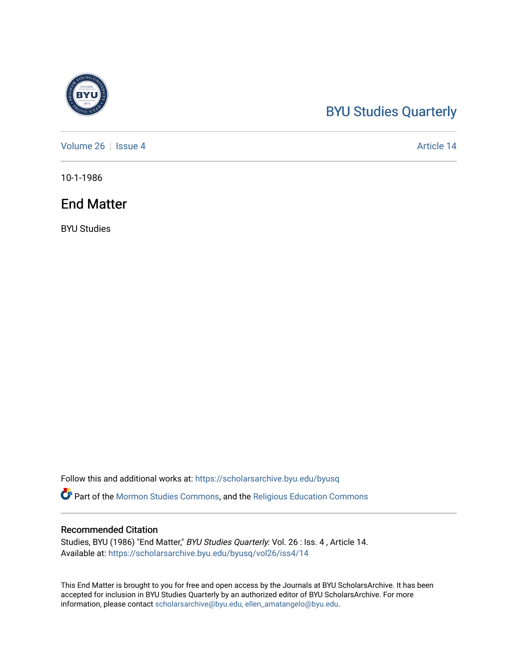## [BYU Studies Quarterly](https://scholarsarchive.byu.edu/byusq)

[Volume 26](https://scholarsarchive.byu.edu/byusq/vol26) | [Issue 4](https://scholarsarchive.byu.edu/byusq/vol26/iss4) Article 14

10-1-1986

## End Matter

BYU Studies

Follow this and additional works at: [https://scholarsarchive.byu.edu/byusq](https://scholarsarchive.byu.edu/byusq?utm_source=scholarsarchive.byu.edu%2Fbyusq%2Fvol26%2Fiss4%2F14&utm_medium=PDF&utm_campaign=PDFCoverPages) 

Part of the [Mormon Studies Commons](http://network.bepress.com/hgg/discipline/1360?utm_source=scholarsarchive.byu.edu%2Fbyusq%2Fvol26%2Fiss4%2F14&utm_medium=PDF&utm_campaign=PDFCoverPages), and the [Religious Education Commons](http://network.bepress.com/hgg/discipline/1414?utm_source=scholarsarchive.byu.edu%2Fbyusq%2Fvol26%2Fiss4%2F14&utm_medium=PDF&utm_campaign=PDFCoverPages) 

## Recommended Citation

Studies, BYU (1986) "End Matter," BYU Studies Quarterly: Vol. 26 : Iss. 4 , Article 14. Available at: [https://scholarsarchive.byu.edu/byusq/vol26/iss4/14](https://scholarsarchive.byu.edu/byusq/vol26/iss4/14?utm_source=scholarsarchive.byu.edu%2Fbyusq%2Fvol26%2Fiss4%2F14&utm_medium=PDF&utm_campaign=PDFCoverPages) 

This End Matter is brought to you for free and open access by the Journals at BYU ScholarsArchive. It has been accepted for inclusion in BYU Studies Quarterly by an authorized editor of BYU ScholarsArchive. For more information, please contact [scholarsarchive@byu.edu, ellen\\_amatangelo@byu.edu.](mailto:scholarsarchive@byu.edu,%20ellen_amatangelo@byu.edu)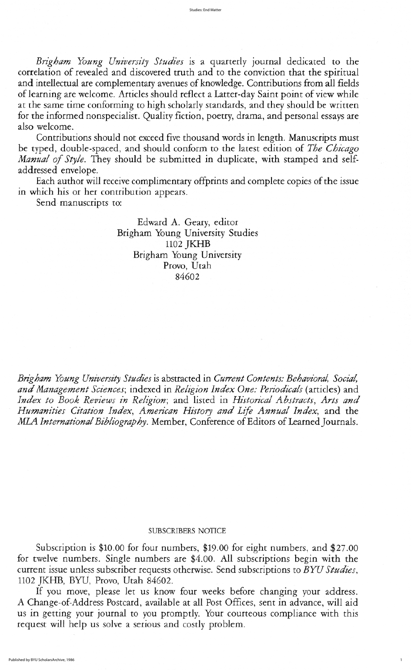Brigham Young University Studies is a quarterly journal dedicated to the correlation of revealed and discovered truth and to the conviction that the spiritual and intellectual are complementary avenues of knowledge. Contributions from all fields of learning are welcome. Articles should reflect a Latter-day Saint point of view while at the same time conforming to high scholarly standards, and they should be written for the informed nonspecialist. Quality fiction, poetry, drama, and personal essays are also welcome

Contributions should not exceed five thousand words in length. Manuscripts must be typed, double-spaced, and should conform to the latest edition of The Chicago Manual of Style. They should be submitted in duplicate, with stamped and selfaddressed envelope

Each author will receive complimentary offprints and complete copies of the issue in which his or her contribution appears

Send manuscripts to:

Edward A. Geary, editor Brigham Young University Studies 1102 JKHB Brigham Young University Provo, Utah 84602

Brigham Young University Studies is abstracted in Current Contents: Behavioral, Social, and Management Sciences; indexed in Religion Index One: Periodicals (articles) and Index to Book Reviews in Religion; and listed in Historical Abstracts, Arts and Humanities Citation Index, American History and Life Annual Index, and the MLA International Bibliography. Member, Conference of Editors of Learned Journals.

## SUBSCRIBERS NOTICE

Subscription is  $$10.00$  for four numbers,  $$19.00$  for eight numbers, and  $$27.00$ for twelve numbers. Single numbers are \$4.00. All subscriptions begin with the current issue unless subscriber requests otherwise. Send subscriptions to BYU Studies, 1102 JKHB, BYU, Provo, Utah 84602.

If you move, please let us know four weeks before changing your address. A Change-of-Address Postcard, available at all Post Offices, sent in advance, will aid us in getting your journal to you promptly. Your courteous compliance with this request will help us solve a serious and costly problem

1